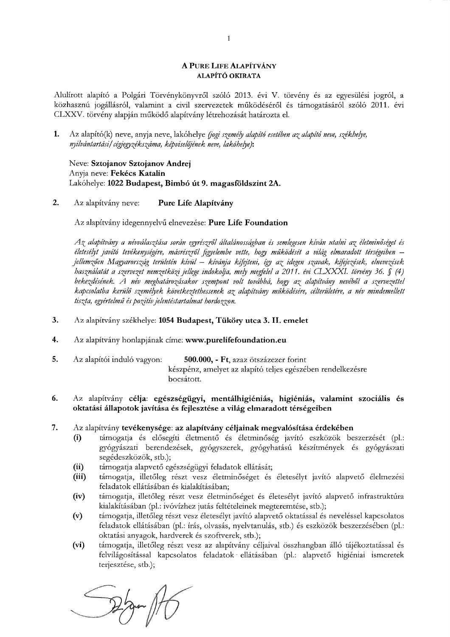### A PURE LIFE ALAPÍTVÁNY ALAPÍTÓ OKIRATA

Alulírott alapító a Polgári Törvénykönyvről szóló 2013. évi V. törvény és az egyesülési jogról, a közhasznú jogállásról, valamint a civil szervezetek működéséről és támogatásáról szóló 2011. évi CLXXV. törvény alapján működő alapítvány létrehozását határozta el.

 $1.$ Az alapító(k) neve, anyja neve, lakóhelye (jogi személy alapító esetében az alapító neve, székhelye, nyilvántartási/cégjegyzékszáma, képviselőjének neve, lakóhelye):

Neve: Sztojanov Sztojanov Andrej Anyja neve: Fekécs Katalin Lakóhelye: 1022 Budapest, Bimbó út 9. magasföldszint 2A.

2. Az alapítvány neve: Pure Life Alapítvány

Az alapítvány idegennyelvű elnevezése: Pure Life Foundation

Az alapítvány a névválasztása során egyrészről általánosságban és semlegesen kíván utalni az életminőséget és életesélyt javító tevékenységére, másrészről figyelembe vette, hogy működését a világ elmaradott térségeiben – jellemzően Magyarország területén kívül – kívánja kifejteni, így az idegen szavak, kifejezések, elnevezések használatát a szervezet nemzetközi jellege indokolja, mely megfelel a 2011. évi CLXXXI. törvény 36. § (4) bekezdésének. A név meghatározásakor szempont volt továbbá, hogy az alapítvány nevéből a szervezettel kapcsolatba kerülő személyek következtethessenek az alapítvány működésére, célterületére, a név mindemellett tiszta, egyértelmű és pozitív jelentéstartalmat hordozzon.

- $3<sub>1</sub>$ Az alapítvány székhelye: 1054 Budapest, Tüköry utca 3. II. emelet
- 4. Az alapítvány honlapjának címe: www.purelifefoundation.eu
- 5. Az alapítói induló vagyon: 500.000, - Ft, azaz ötszázezer forint készpénz, amelyet az alapító teljes egészében rendelkezésre bocsátott.

### 6. Az alapítvány célja: egészségügyi, mentálhigiéniás, higiéniás, valamint szociális és oktatási állapotok javítása és fejlesztése a világ elmaradott térségeiben

- 7. Az alapítvány tevékenysége: az alapítvány céljainak megvalósítása érdekében
	- támogatja és elősegíti életmentő és életminőség javító eszközök beszerzését (pl.:  $(i)$ gyógyászati berendezések, gyógyszerek, gyógyhatású készítmények és gyógyászati segédeszközök, stb.);
	- támogatja alapvető egészségügyi feladatok ellátását;  $(ii)$
	- $(iii)$ támogatja, illetőleg részt vesz életminőséget és életesélyt javító alapvető élelmezési feladatok ellátásában és kialakításában;
	- $(iv)$ támogatja, illetőleg részt vesz életminőséget és életesélyt javító alapvető infrastruktúra kialakításában (pl.: ivóvízhez jutás feltételeinek megteremtése, stb.);
	- támogatja, illetőleg részt vesz életesélyt javító alapvető oktatással és neveléssel kapcsolatos  $(v)$ feladatok ellátásában (pl.: írás, olvasás, nyelvtanulás, stb.) és eszközök beszerzésében (pl.: oktatási anyagok, hardverek és szoftverek, stb.);
	- $(vi)$ támogatja, illetőleg részt vesz az alapítvány céljaival összhangban álló tájékoztatással és felvilágosítással kapcsolatos feladatok ellátásában (pl.: alapvető higiéniai ismeretek terjesztése, stb.);

 $\frac{1}{\sqrt{2\pi}}$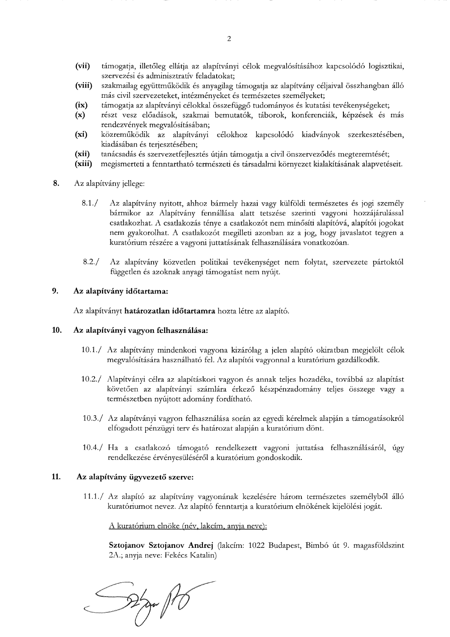- $(vii)$ támogatja, illetőleg ellátja az alapítványi célok megvalósításához kapcsolódó logisztikai, szervezési és adminisztratív feladatokat;
- $(viii)$ szakmailag együttműködik és anyagilag támogatja az alapítvány céljaival összhangban álló más civil szervezeteket, intézményeket és természetes személyeket;
- $(ix)$ támogatja az alapítványi célokkal összefüggő tudományos és kutatási tevékenységeket;
- részt vesz előadások, szakmai bemutatók, táborok, konferenciák, képzések és más  $(x)$ rendezvények megvalósításában;
- $(xi)$ közreműködik az alapítványi célokhoz kapcsolódó kiadványok szerkesztésében, kiadásában és terjesztésében;
- $(xii)$ tanácsadás és szervezetfejlesztés útján támogatja a civil önszerveződés megteremtését;
- megismerteti a fenntartható természeti és társadalmi környezet kialakításának alapvetéseit.  $(xiii)$
- 8. Az alapítvány jellege:
	- $8.1./$ Az alapítvány nyitott, ahhoz bármely hazai vagy külföldi természetes és jogi személy bármikor az Alapítvány fennállása alatt tetszése szerinti vagyoni hozzájárulással csatlakozhat. A csatlakozás ténye a csatlakozót nem minősíti alapítóvá, alapítói jogokat nem gyakorolhat. A csatlakozót megilleti azonban az a jog, hogy javaslatot tegyen a kuratórium részére a vagyoni juttatásának felhasználására vonatkozóan.
	- $8.2./$ Az alapítvány közvetlen politikai tevékenységet nem folytat, szervezete pártoktól független és azoknak anyagi támogatást nem nyújt.

#### 9. Az alapítvány időtartama:

Az alapítványt határozatlan időtartamra hozta létre az alapító.

#### 10. Az alapítványi vagyon felhasználása:

- 10.1./ Az alapítvány mindenkori vagyona kizárólag a jelen alapító okiratban megjelölt célok megvalósítására használható fel. Az alapítói vagyonnal a kuratórium gazdálkodik.
- 10.2./ Alapítványi célra az alapításkori vagyon és annak teljes hozadéka, továbbá az alapítást követően az alapítványi számlára érkező készpénzadomány teljes összege vagy a természetben nyújtott adomány fordítható.
- 10.3./ Az alapítványi vagyon felhasználása során az egyedi kérelmek alapján a támogatásokról elfogadott pénzügyi terv és határozat alapján a kuratórium dönt.
- 10.4./ Ha a csatlakozó támogató rendelkezett vagyoni juttatása felhasználásáról, úgy rendelkezése érvényesüléséről a kuratórium gondoskodik.

#### 11. Az alapítvány ügyvezető szerve:

11.1./ Az alapító az alapítvány vagyonának kezelésére három természetes személyből álló kuratóriumot nevez. Az alapító fenntartja a kuratórium elnökének kijelölési jogát.

A kuratórium elnöke (név, lakcím, anyja neve):

Sztojanov Sztojanov Andrej (lakcím: 1022 Budapest, Bimbó út 9. magasföldszint 2A.; anyja neve: Fekécs Katalin)

 $\frac{1}{2}$  april 10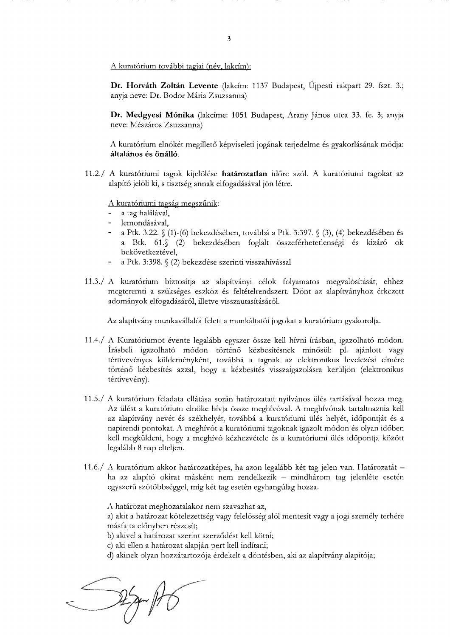A kuratórium további tagjai (név, lakcím):

Dr. Horváth Zoltán Levente (lakcím: 1137 Budapest, Újpesti rakpart 29. fszt. 3.; anyja neve: Dr. Bodor Mária Zsuzsanna)

Dr. Medgyesi Mónika (lakcíme: 1051 Budapest, Arany János utca 33. fe. 3; anyja neve: Mészáros Zsuzsanna)

A kuratórium elnökét megillető képviseleti jogának terjedelme és gyakorlásának módja: általános és önálló.

11.2./ A kuratóriumi tagok kijelölése határozatlan időre szól. A kuratóriumi tagokat az alapító jelöli ki, s tisztség annak elfogadásával jön létre.

A kuratóriumi tagság megszűnik:

- a tag halálával,
- lemondásával,
- a Ptk. 3:22. § (1)-(6) bekezdésében, továbbá a Ptk. 3:397. § (3), (4) bekezdésében és a Btk. 61.§ (2) bekezdésében foglalt összeférhetetlenségi és kizáró ok bekövetkeztével.
- a Ptk. 3:398. § (2) bekezdése szerinti visszahívással
- 11.3./ A kuratórium biztosítja az alapítványi célok folyamatos megvalósítását, ehhez megteremti a szükséges eszköz és feltételrendszert. Dönt az alapítványhoz érkezett adományok elfogadásáról, illetve visszautasításáról.

Az alapítvány munkavállalói felett a munkáltatói jogokat a kuratórium gyakorolja.

- 11.4./ A Kuratóriumot évente legalább egyszer össze kell hívni írásban, igazolható módon. Írásbeli igazolható módon történő kézbesítésnek minősül: pl. ajánlott vagy tértivevényes küldeményként, továbbá a tagnak az elektronikus levelezési címére történő kézbesítés azzal, hogy a kézbesítés visszaigazolásra kerüljön (elektronikus tértivevény).
- 11.5./ A kuratórium feladata ellátása során határozatait nyilvános ülés tartásával hozza meg. Az ülést a kuratórium elnöke hívja össze meghívóval. A meghívónak tartalmaznia kell az alapítvány nevét és székhelyét, továbbá a kuratóriumi ülés helyét, időpontját és a napirendi pontokat. A meghívót a kuratóriumi tagoknak igazolt módon és olyan időben kell megküldeni, hogy a meghívó kézhezvétele és a kuratóriumi ülés időpontja között legalább 8 nap elteljen.
- 11.6./ A kuratórium akkor határozatképes, ha azon legalább két tag jelen van. Határozatát ha az alapító okirat másként nem rendelkezik – mindhárom tag jelenléte esetén egyszerű szótöbbséggel, míg két tag esetén egyhangúlag hozza.

A határozat meghozatalakor nem szavazhat az,

a) akit a határozat kötelezettség vagy felelősség alól mentesít vagy a jogi személy terhére másfajta előnyben részesít;

b) akivel a határozat szerint szerződést kell kötni;

c) aki ellen a határozat alapján pert kell indítani;

d) akinek olyan hozzátartozója érdekelt a döntésben, aki az alapítvány alapítója;

 $\frac{1}{\sqrt{2\pi}}$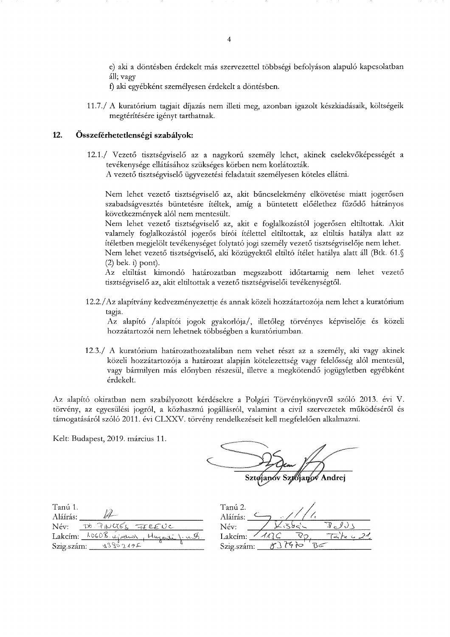e) aki a döntésben érdekelt más szervezettel többségi befolyáson alapuló kapcsolatban áll: vagy

f) aki egyébként személyesen érdekelt a döntésben.

11.7./ A kuratórium tagjait díjazás nem illeti meg, azonban igazolt készkiadásaik, költségeik megtérítésére igényt tarthatnak.

### 12. Összeférhetetlenségi szabályok:

12.1./ Vezető tisztségviselő az a nagykorú személy lehet, akinek cselekvőképességét a tevékenysége ellátásához szükséges körben nem korlátozták.

A vezető tisztségviselő ügyvezetési feladatait személyesen köteles ellátni.

Nem lehet vezető tisztségviselő az, akit bűncselekmény elkövetése miatt jogerősen szabadságyesztés büntetésre ítéltek, amíg a büntetett előélethez fűződő hátrányos következmények alól nem mentesült.

Nem lehet vezető tisztségviselő az, akit e foglalkozástól jogerősen eltiltottak. Akit valamely foglalkozástól jogerős bírói ítélettel eltiltottak, az eltiltás hatálya alatt az ítéletben megjelölt tevékenységet folytató jogi személy vezető tisztségviselője nem lehet.

Nem lehet vezető tisztségviselő, aki közügyektől eltiltó ítélet hatálya alatt áll (Btk. 61.§  $(2)$  bek. i) pont).

Az eltiltást kimondó határozatban megszabott időtartamig nem lehet vezető tisztségviselő az, akit eltiltottak a vezető tisztségviselői tevékenységtől.

12.2./Az alapítvány kedvezményezettje és annak közeli hozzátartozója nem lehet a kuratórium tagja.

Az alapító /alapítói jogok gyakorlója/, illetőleg törvényes képviselője és közeli hozzátartozói nem lehetnek többségben a kuratóriumban.

12.3./ A kuratórium határozathozatalában nem vehet részt az a személy, aki vagy akinek közeli hozzátartozója a határozat alapján kötelezettség vagy felelősség alól mentesül, vagy bármilyen más előnyben részesül, illetve a megkötendő jogügyletben egyébként érdekelt.

Az alapító okiratban nem szabályozott kérdésekre a Polgári Törvénykönyvről szóló 2013. évi V. törvény, az egyesülési jogról, a közhasznú jogállásról, valamint a civil szervezetek működéséről és támogatásáról szóló 2011. évi CLXXV. törvény rendelkezéseit kell megfelelően alkalmazni.

Kelt: Budapest, 2019. március 11.

Sztoianóv Szyójanóv Andrej

| Tanú 1.    |                                                    |
|------------|----------------------------------------------------|
| Aláírás:   |                                                    |
| Név:       | DO PINCIES FEREUC                                  |
|            | Lakcím: <u>LOGOB. é</u> jochnos, Mugardi J. n. 5/2 |
| Szig.szám: | 3380219F                                           |

| Tanú 2.<br>Aláírás: | $\mathbf{c}^{\prime\prime}$ |  |
|---------------------|-----------------------------|--|
| Név:                |                             |  |
| Lakcím:             |                             |  |
| Szig.szám:          |                             |  |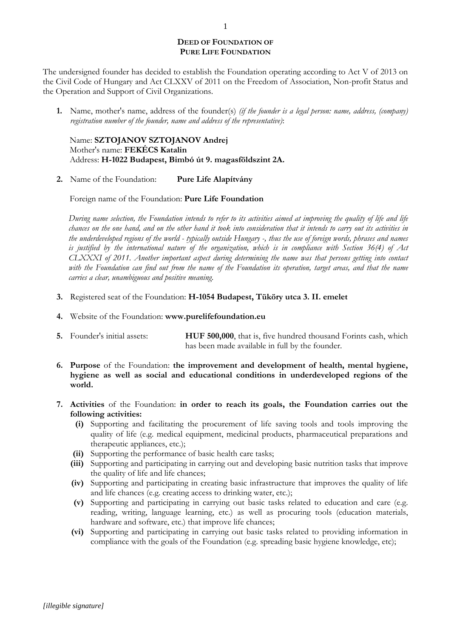# **DEED OF FOUNDATION OF PURE LIFE FOUNDATION**

The undersigned founder has decided to establish the Foundation operating according to Act V of 2013 on the Civil Code of Hungary and Act CLXXV of 2011 on the Freedom of Association, Non-profit Status and the Operation and Support of Civil Organizations.

**1.** Name, mother's name, address of the founder(s) *(if the founder is a legal person: name, address, (company) registration number of the founder, name and address of the representative)*:

Name: **SZTOJANOV SZTOJANOV Andrej** Mother's name: **FEKÉCS Katalin** Address: **H-1022 Budapest, Bimbó út 9. magasföldszint 2A.**

**2.** Name of the Foundation: **Pure Life Alapítvány**

Foreign name of the Foundation: **Pure Life Foundation**

*During name selection, the Foundation intends to refer to its activities aimed at improving the quality of life and life chances on the one hand, and on the other hand it took into consideration that it intends to carry out its activities in the underdeveloped regions of the world - typically outside Hungary -, thus the use of foreign words, phrases and names is justified by the international nature of the organization, which is in compliance with Section 36(4) of Act CLXXXI of 2011. Another important aspect during determining the name was that persons getting into contact with the Foundation can find out from the name of the Foundation its operation, target areas, and that the name carries a clear, unambiguous and positive meaning.*

- **3.** Registered seat of the Foundation: **H-1054 Budapest, Tüköry utca 3. II. emelet**
- **4.** Website of the Foundation: **www.purelifefoundation.eu**
- **5.** Founder's initial assets: **HUF 500,000**, that is, five hundred thousand Forints cash, which has been made available in full by the founder.
- **6. Purpose** of the Foundation: **the improvement and development of health, mental hygiene, hygiene as well as social and educational conditions in underdeveloped regions of the world.**
- **7. Activities** of the Foundation: **in order to reach its goals, the Foundation carries out the following activities:**
	- **(i)** Supporting and facilitating the procurement of life saving tools and tools improving the quality of life (e.g. medical equipment, medicinal products, pharmaceutical preparations and therapeutic appliances, etc.);
	- **(ii)** Supporting the performance of basic health care tasks;
	- **(iii)** Supporting and participating in carrying out and developing basic nutrition tasks that improve the quality of life and life chances;
	- **(iv)** Supporting and participating in creating basic infrastructure that improves the quality of life and life chances (e.g. creating access to drinking water, etc.);
	- **(v)** Supporting and participating in carrying out basic tasks related to education and care (e.g. reading, writing, language learning, etc.) as well as procuring tools (education materials, hardware and software, etc.) that improve life chances;
	- **(vi)** Supporting and participating in carrying out basic tasks related to providing information in compliance with the goals of the Foundation (e.g. spreading basic hygiene knowledge, etc);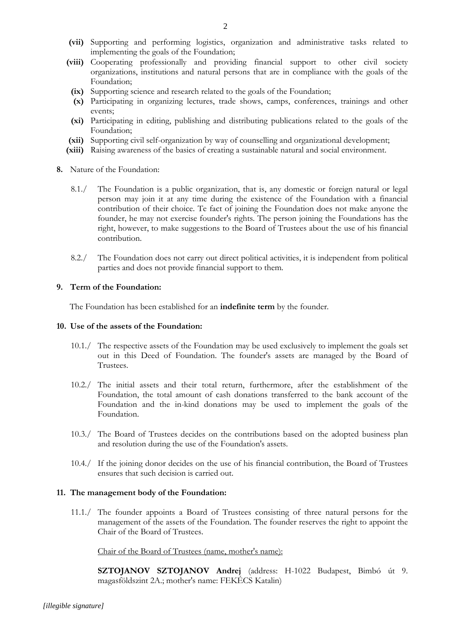- **(vii)** Supporting and performing logistics, organization and administrative tasks related to implementing the goals of the Foundation;
- **(viii)** Cooperating professionally and providing financial support to other civil society organizations, institutions and natural persons that are in compliance with the goals of the Foundation;
	- **(ix)** Supporting science and research related to the goals of the Foundation;
	- **(x)** Participating in organizing lectures, trade shows, camps, conferences, trainings and other events;
	- **(xi)** Participating in editing, publishing and distributing publications related to the goals of the Foundation;
- **(xii)** Supporting civil self-organization by way of counselling and organizational development;
- **(xiii)** Raising awareness of the basics of creating a sustainable natural and social environment.
- **8.** Nature of the Foundation:
	- 8.1./ The Foundation is a public organization, that is, any domestic or foreign natural or legal person may join it at any time during the existence of the Foundation with a financial contribution of their choice. Te fact of joining the Foundation does not make anyone the founder, he may not exercise founder's rights. The person joining the Foundations has the right, however, to make suggestions to the Board of Trustees about the use of his financial contribution.
	- 8.2./ The Foundation does not carry out direct political activities, it is independent from political parties and does not provide financial support to them.

# **9. Term of the Foundation:**

The Foundation has been established for an **indefinite term** by the founder.

## **10. Use of the assets of the Foundation:**

- 10.1./ The respective assets of the Foundation may be used exclusively to implement the goals set out in this Deed of Foundation. The founder's assets are managed by the Board of Trustees.
- 10.2./ The initial assets and their total return, furthermore, after the establishment of the Foundation, the total amount of cash donations transferred to the bank account of the Foundation and the in-kind donations may be used to implement the goals of the Foundation.
- 10.3./ The Board of Trustees decides on the contributions based on the adopted business plan and resolution during the use of the Foundation's assets.
- 10.4./ If the joining donor decides on the use of his financial contribution, the Board of Trustees ensures that such decision is carried out.

## **11. The management body of the Foundation:**

11.1./ The founder appoints a Board of Trustees consisting of three natural persons for the management of the assets of the Foundation. The founder reserves the right to appoint the Chair of the Board of Trustees.

Chair of the Board of Trustees (name, mother's name):

**SZTOJANOV SZTOJANOV Andrej** (address: H-1022 Budapest, Bimbó út 9. magasföldszint 2A.; mother's name: FEKÉCS Katalin)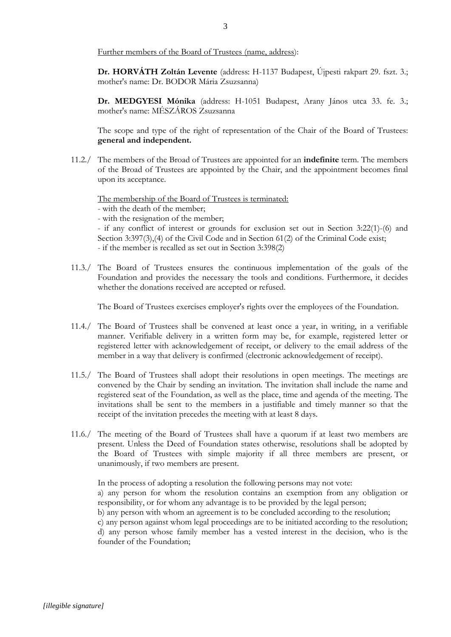Further members of the Board of Trustees (name, address):

**Dr. HORVÁTH Zoltán Levente** (address: H-1137 Budapest, Újpesti rakpart 29. fszt. 3.; mother's name: Dr. BODOR Mária Zsuzsanna)

**Dr. MEDGYESI Mónika** (address: H-1051 Budapest, Arany János utca 33. fe. 3.; mother's name: MÉSZÁROS Zsuzsanna

The scope and type of the right of representation of the Chair of the Board of Trustees: **general and independent.**

11.2./ The members of the Broad of Trustees are appointed for an **indefinite** term. The members of the Broad of Trustees are appointed by the Chair, and the appointment becomes final upon its acceptance.

The membership of the Board of Trustees is terminated:

- with the death of the member;

- with the resignation of the member;

- if any conflict of interest or grounds for exclusion set out in Section 3:22(1)-(6) and Section 3:397(3),(4) of the Civil Code and in Section 61(2) of the Criminal Code exist; - if the member is recalled as set out in Section 3:398(2)

11.3./ The Board of Trustees ensures the continuous implementation of the goals of the Foundation and provides the necessary the tools and conditions. Furthermore, it decides whether the donations received are accepted or refused.

The Board of Trustees exercises employer's rights over the employees of the Foundation.

- 11.4./ The Board of Trustees shall be convened at least once a year, in writing, in a verifiable manner. Verifiable delivery in a written form may be, for example, registered letter or registered letter with acknowledgement of receipt, or delivery to the email address of the member in a way that delivery is confirmed (electronic acknowledgement of receipt).
- 11.5./ The Board of Trustees shall adopt their resolutions in open meetings. The meetings are convened by the Chair by sending an invitation. The invitation shall include the name and registered seat of the Foundation, as well as the place, time and agenda of the meeting. The invitations shall be sent to the members in a justifiable and timely manner so that the receipt of the invitation precedes the meeting with at least 8 days.
- 11.6./ The meeting of the Board of Trustees shall have a quorum if at least two members are present. Unless the Deed of Foundation states otherwise, resolutions shall be adopted by the Board of Trustees with simple majority if all three members are present, or unanimously, if two members are present.

In the process of adopting a resolution the following persons may not vote:

a) any person for whom the resolution contains an exemption from any obligation or responsibility, or for whom any advantage is to be provided by the legal person;

b) any person with whom an agreement is to be concluded according to the resolution;

c) any person against whom legal proceedings are to be initiated according to the resolution;

d) any person whose family member has a vested interest in the decision, who is the founder of the Foundation;